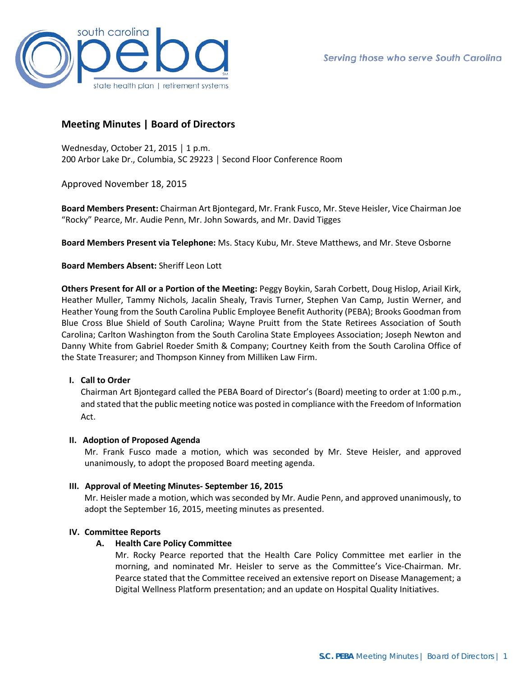

# **Meeting Minutes | Board of Directors**

Wednesday, October 21, 2015 │ 1 p.m. 200 Arbor Lake Dr., Columbia, SC 29223 │ Second Floor Conference Room

Approved November 18, 2015

**Board Members Present:** Chairman Art Bjontegard, Mr. Frank Fusco, Mr. Steve Heisler, Vice Chairman Joe "Rocky" Pearce, Mr. Audie Penn, Mr. John Sowards, and Mr. David Tigges

**Board Members Present via Telephone:** Ms. Stacy Kubu, Mr. Steve Matthews, and Mr. Steve Osborne

**Board Members Absent:** Sheriff Leon Lott

**Others Present for All or a Portion of the Meeting:** Peggy Boykin, Sarah Corbett, Doug Hislop, Ariail Kirk, Heather Muller, Tammy Nichols, Jacalin Shealy, Travis Turner, Stephen Van Camp, Justin Werner, and Heather Young from the South Carolina Public Employee Benefit Authority (PEBA); Brooks Goodman from Blue Cross Blue Shield of South Carolina; Wayne Pruitt from the State Retirees Association of South Carolina; Carlton Washington from the South Carolina State Employees Association; Joseph Newton and Danny White from Gabriel Roeder Smith & Company; Courtney Keith from the South Carolina Office of the State Treasurer; and Thompson Kinney from Milliken Law Firm.

# **I. Call to Order**

Chairman Art Bjontegard called the PEBA Board of Director's (Board) meeting to order at 1:00 p.m., and stated that the public meeting notice was posted in compliance with the Freedom of Information Act.

#### **II. Adoption of Proposed Agenda**

Mr. Frank Fusco made a motion, which was seconded by Mr. Steve Heisler, and approved unanimously, to adopt the proposed Board meeting agenda.

#### **III. Approval of Meeting Minutes- September 16, 2015**

Mr. Heisler made a motion, which was seconded by Mr. Audie Penn, and approved unanimously, to adopt the September 16, 2015, meeting minutes as presented.

#### **IV. Committee Reports**

#### **A. Health Care Policy Committee**

Mr. Rocky Pearce reported that the Health Care Policy Committee met earlier in the morning, and nominated Mr. Heisler to serve as the Committee's Vice-Chairman. Mr. Pearce stated that the Committee received an extensive report on Disease Management; a Digital Wellness Platform presentation; and an update on Hospital Quality Initiatives.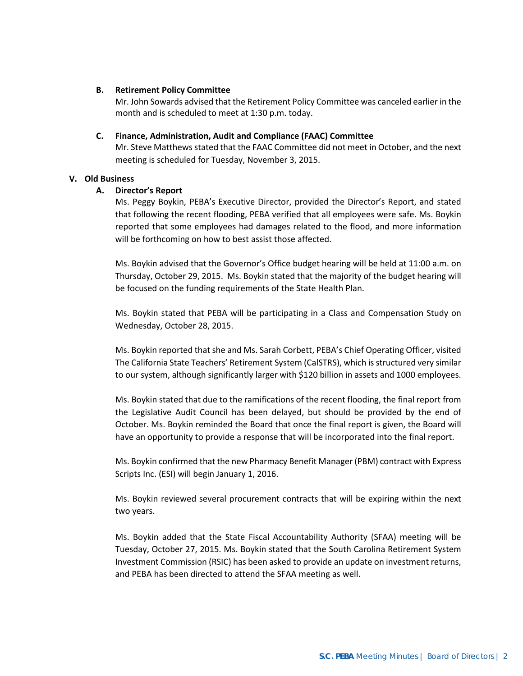## **B. Retirement Policy Committee**

Mr. John Sowards advised that the Retirement Policy Committee was canceled earlier in the month and is scheduled to meet at 1:30 p.m. today.

#### **C. Finance, Administration, Audit and Compliance (FAAC) Committee**

Mr. Steve Matthews stated that the FAAC Committee did not meet in October, and the next meeting is scheduled for Tuesday, November 3, 2015.

## **V. Old Business**

## **A. Director's Report**

Ms. Peggy Boykin, PEBA's Executive Director, provided the Director's Report, and stated that following the recent flooding, PEBA verified that all employees were safe. Ms. Boykin reported that some employees had damages related to the flood, and more information will be forthcoming on how to best assist those affected.

Ms. Boykin advised that the Governor's Office budget hearing will be held at 11:00 a.m. on Thursday, October 29, 2015. Ms. Boykin stated that the majority of the budget hearing will be focused on the funding requirements of the State Health Plan.

Ms. Boykin stated that PEBA will be participating in a Class and Compensation Study on Wednesday, October 28, 2015.

Ms. Boykin reported that she and Ms. Sarah Corbett, PEBA's Chief Operating Officer, visited The California State Teachers' Retirement System (CalSTRS), which is structured very similar to our system, although significantly larger with \$120 billion in assets and 1000 employees.

Ms. Boykin stated that due to the ramifications of the recent flooding, the final report from the Legislative Audit Council has been delayed, but should be provided by the end of October. Ms. Boykin reminded the Board that once the final report is given, the Board will have an opportunity to provide a response that will be incorporated into the final report.

Ms. Boykin confirmed that the new Pharmacy Benefit Manager (PBM) contract with Express Scripts Inc. (ESI) will begin January 1, 2016.

Ms. Boykin reviewed several procurement contracts that will be expiring within the next two years.

Ms. Boykin added that the State Fiscal Accountability Authority (SFAA) meeting will be Tuesday, October 27, 2015. Ms. Boykin stated that the South Carolina Retirement System Investment Commission (RSIC) has been asked to provide an update on investment returns, and PEBA has been directed to attend the SFAA meeting as well.